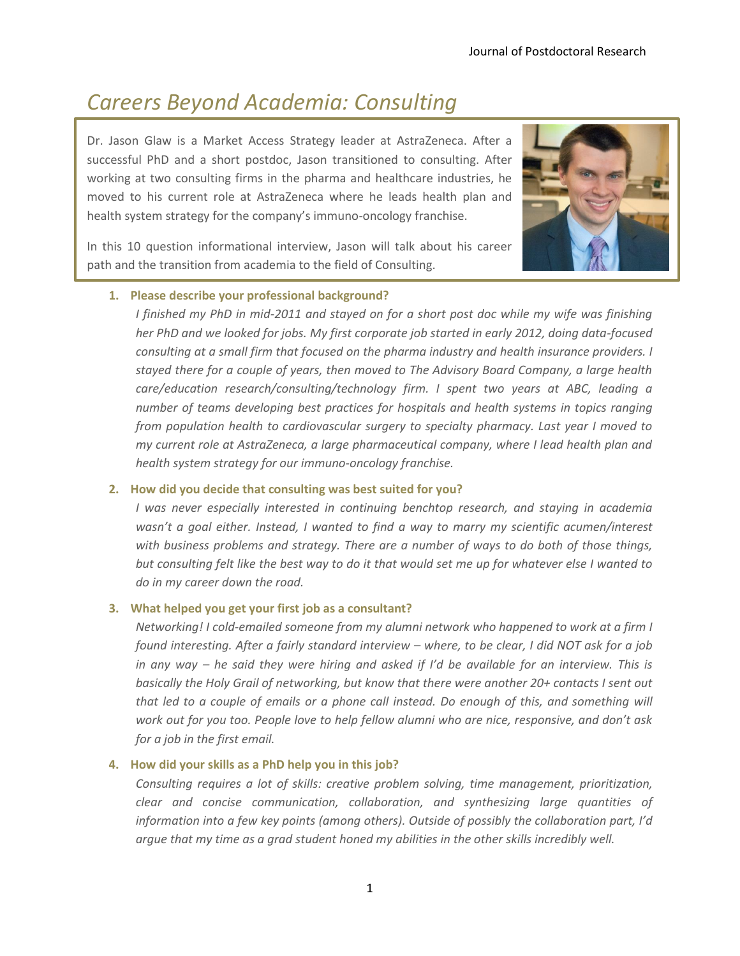# *Careers Beyond Academia: Consulting*

Dr. Jason Glaw is a Market Access Strategy leader at AstraZeneca. After a successful PhD and a short postdoc, Jason transitioned to consulting. After working at two consulting firms in the pharma and healthcare industries, he moved to his current role at AstraZeneca where he leads health plan and health system strategy for the company's immuno-oncology franchise.



In this 10 question informational interview, Jason will talk about his career path and the transition from academia to the field of Consulting.

## **1. Please describe your professional background?**

*I* finished my PhD in mid-2011 and stayed on for a short post doc while my wife was finishing *her PhD and we looked for jobs. My first corporate job started in early 2012, doing data-focused consulting at a small firm that focused on the pharma industry and health insurance providers. I stayed there for a couple of years, then moved to The Advisory Board Company, a large health care/education research/consulting/technology firm. I spent two years at ABC, leading a number of teams developing best practices for hospitals and health systems in topics ranging from population health to cardiovascular surgery to specialty pharmacy. Last year I moved to my current role at AstraZeneca, a large pharmaceutical company, where I lead health plan and health system strategy for our immuno-oncology franchise.*

#### **2. How did you decide that consulting was best suited for you?**

*I* was never especially interested in continuing benchtop research, and staying in academia *wasn't a goal either. Instead, I wanted to find a way to marry my scientific acumen/interest with business problems and strategy. There are a number of ways to do both of those things, but consulting felt like the best way to do it that would set me up for whatever else I wanted to do in my career down the road.*

## **3. What helped you get your first job as a consultant?**

*Networking! I cold-emailed someone from my alumni network who happened to work at a firm I found interesting. After a fairly standard interview – where, to be clear, I did NOT ask for a job in any way – he said they were hiring and asked if I'd be available for an interview. This is basically the Holy Grail of networking, but know that there were another 20+ contacts I sent out that led to a couple of emails or a phone call instead. Do enough of this, and something will work out for you too. People love to help fellow alumni who are nice, responsive, and don't ask for a job in the first email.*

#### **4. How did your skills as a PhD help you in this job?**

*Consulting requires a lot of skills: creative problem solving, time management, prioritization, clear and concise communication, collaboration, and synthesizing large quantities of information into a few key points (among others). Outside of possibly the collaboration part, I'd argue that my time as a grad student honed my abilities in the other skills incredibly well.*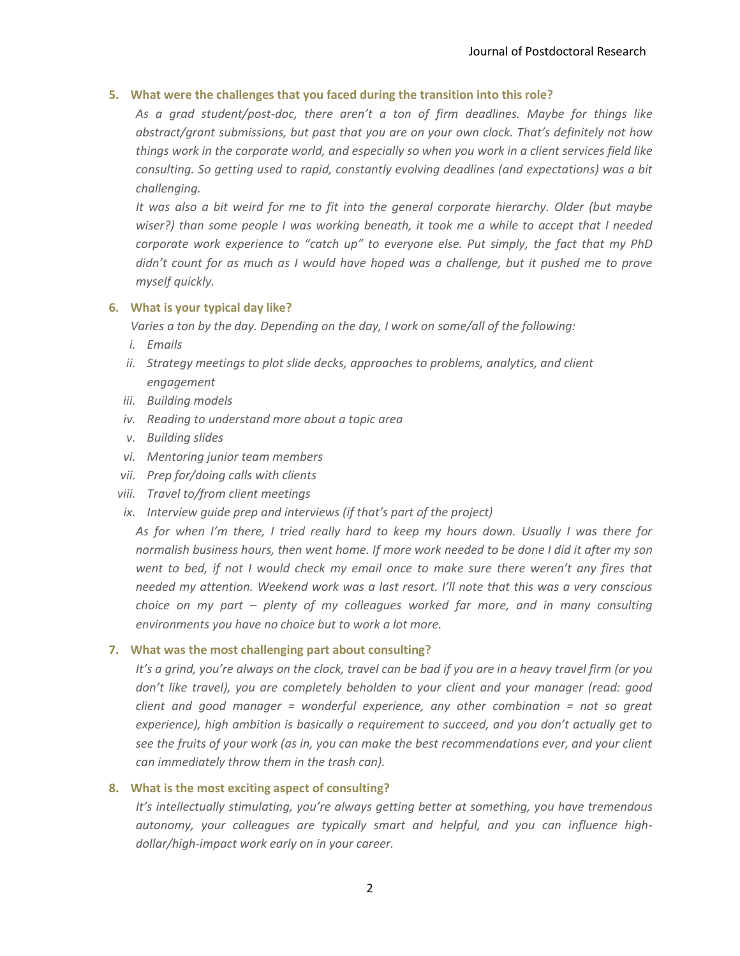## **5. What were the challenges that you faced during the transition into this role?**

*As a grad student/post-doc, there aren't a ton of firm deadlines. Maybe for things like abstract/grant submissions, but past that you are on your own clock. That's definitely not how things work in the corporate world, and especially so when you work in a client services field like consulting. So getting used to rapid, constantly evolving deadlines (and expectations) was a bit challenging.* 

*It was also a bit weird for me to fit into the general corporate hierarchy. Older (but maybe wiser?) than some people I was working beneath, it took me a while to accept that I needed corporate work experience to "catch up" to everyone else. Put simply, the fact that my PhD didn't count for as much as I would have hoped was a challenge, but it pushed me to prove myself quickly.*

## **6. What is your typical day like?**

*Varies a ton by the day. Depending on the day, I work on some/all of the following:*

- *i. Emails*
- *ii. Strategy meetings to plot slide decks, approaches to problems, analytics, and client engagement*
- *iii. Building models*
- *iv. Reading to understand more about a topic area*
- *v. Building slides*
- *vi. Mentoring junior team members*
- *vii. Prep for/doing calls with clients*
- *viii. Travel to/from client meetings*
- *ix. Interview guide prep and interviews (if that's part of the project)*

*As for when I'm there, I tried really hard to keep my hours down. Usually I was there for normalish business hours, then went home. If more work needed to be done I did it after my son went to bed, if not I would check my email once to make sure there weren't any fires that needed my attention. Weekend work was a last resort. I'll note that this was a very conscious choice on my part – plenty of my colleagues worked far more, and in many consulting environments you have no choice but to work a lot more.*

## **7. What was the most challenging part about consulting?**

*It's a grind, you're always on the clock, travel can be bad if you are in a heavy travel firm (or you don't like travel), you are completely beholden to your client and your manager (read: good client and good manager = wonderful experience, any other combination = not so great experience), high ambition is basically a requirement to succeed, and you don't actually get to see the fruits of your work (as in, you can make the best recommendations ever, and your client can immediately throw them in the trash can).*

## **8. What is the most exciting aspect of consulting?**

*It's intellectually stimulating, you're always getting better at something, you have tremendous autonomy, your colleagues are typically smart and helpful, and you can influence highdollar/high-impact work early on in your career.*